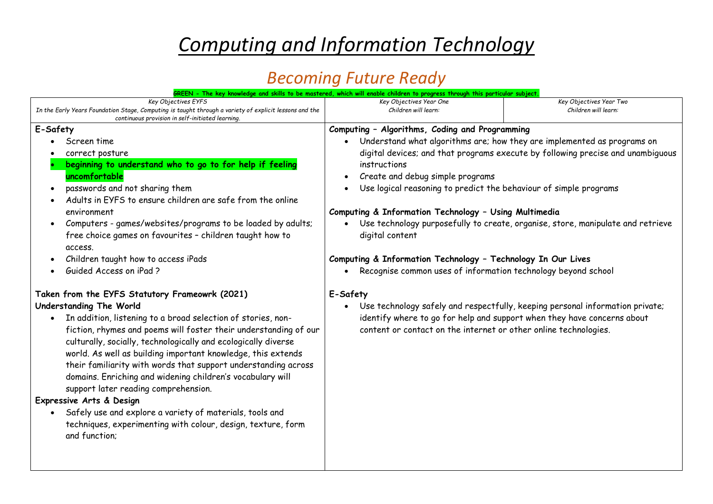# *Computing and Information Technology*

### *Becoming Future Ready*

|                                                                                                                                                                                                                                                                                                                                                                                                                                                                                                                                                                                                                        | GREEN - The key knowledge and skills to be mastered, which will enable children to progress through this particular subject                                                                                                                                                                                                                                                                                                                                                                                                                                                                                                                                                                                                                                                           |                                                 |
|------------------------------------------------------------------------------------------------------------------------------------------------------------------------------------------------------------------------------------------------------------------------------------------------------------------------------------------------------------------------------------------------------------------------------------------------------------------------------------------------------------------------------------------------------------------------------------------------------------------------|---------------------------------------------------------------------------------------------------------------------------------------------------------------------------------------------------------------------------------------------------------------------------------------------------------------------------------------------------------------------------------------------------------------------------------------------------------------------------------------------------------------------------------------------------------------------------------------------------------------------------------------------------------------------------------------------------------------------------------------------------------------------------------------|-------------------------------------------------|
| Key Objectives EYFS<br>In the Early Years Foundation Stage, Computing is taught through a variety of explicit lessons and the<br>continuous provision in self-initiated learning.                                                                                                                                                                                                                                                                                                                                                                                                                                      | Key Objectives Year One<br>Children will learn:                                                                                                                                                                                                                                                                                                                                                                                                                                                                                                                                                                                                                                                                                                                                       | Key Objectives Year Two<br>Children will learn: |
| E-Safety                                                                                                                                                                                                                                                                                                                                                                                                                                                                                                                                                                                                               | Computing - Algorithms, Coding and Programming                                                                                                                                                                                                                                                                                                                                                                                                                                                                                                                                                                                                                                                                                                                                        |                                                 |
| Screen time<br>correct posture<br>beginning to understand who to go to for help if feeling<br>uncomfortable<br>passwords and not sharing them<br>$\bullet$<br>Adults in EYFS to ensure children are safe from the online<br>environment<br>Computers - games/websites/programs to be loaded by adults;<br>$\bullet$<br>free choice games on favourites - children taught how to<br>access.<br>Children taught how to access iPads<br>Guided Access on iPad ?<br>Taken from the EYFS Statutory Frameowrk (2021)<br>Understanding The World<br>In addition, listening to a broad selection of stories, non-<br>$\bullet$ | Understand what algorithms are; how they are implemented as programs on<br>digital devices; and that programs execute by following precise and unambiguous<br>instructions<br>Create and debug simple programs<br>Use logical reasoning to predict the behaviour of simple programs<br>Computing & Information Technology - Using Multimedia<br>Use technology purposefully to create, organise, store, manipulate and retrieve<br>$\bullet$<br>digital content<br>Computing & Information Technology - Technology In Our Lives<br>Recognise common uses of information technology beyond school<br>E-Safety<br>Use technology safely and respectfully, keeping personal information private;<br>$\bullet$<br>identify where to go for help and support when they have concerns about |                                                 |
| fiction, rhymes and poems will foster their understanding of our<br>culturally, socially, technologically and ecologically diverse<br>world. As well as building important knowledge, this extends<br>their familiarity with words that support understanding across<br>domains. Enriching and widening children's vocabulary will<br>support later reading comprehension.<br>Expressive Arts & Design<br>Safely use and explore a variety of materials, tools and<br>techniques, experimenting with colour, design, texture, form<br>and function;                                                                    | content or contact on the internet or other online technologies.                                                                                                                                                                                                                                                                                                                                                                                                                                                                                                                                                                                                                                                                                                                      |                                                 |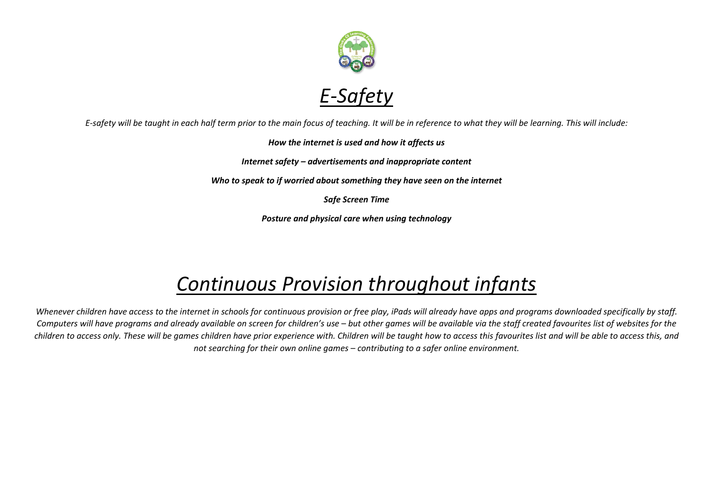

*E-safety will be taught in each half term prior to the main focus of teaching. It will be in reference to what they will be learning. This will include:*

#### *How the internet is used and how it affects us*

*Internet safety – advertisements and inappropriate content*

*Who to speak to if worried about something they have seen on the internet*

*Safe Screen Time*

*Posture and physical care when using technology*

## *Continuous Provision throughout infants*

*Whenever children have access to the internet in schools for continuous provision or free play, iPads will already have apps and programs downloaded specifically by staff. Computers will have programs and already available on screen for children's use – but other games will be available via the staff created favourites list of websites for the children to access only. These will be games children have prior experience with. Children will be taught how to access this favourites list and will be able to access this, and not searching for their own online games – contributing to a safer online environment.*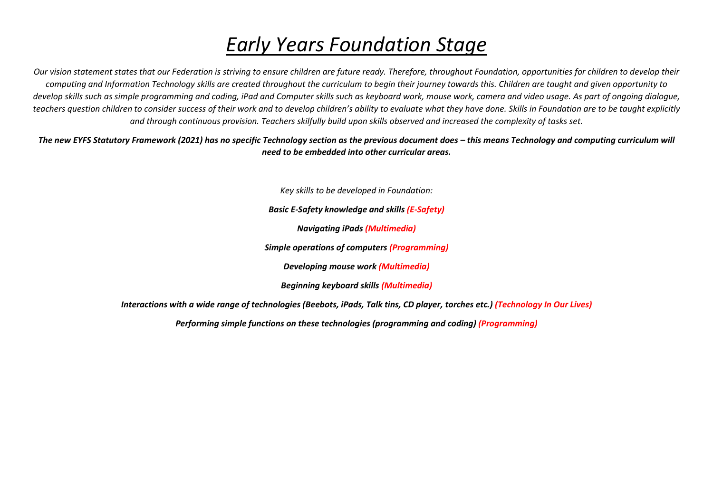## *Early Years Foundation Stage*

*Our vision statement states that our Federation is striving to ensure children are future ready. Therefore, throughout Foundation, opportunities for children to develop their computing and Information Technology skills are created throughout the curriculum to begin their journey towards this. Children are taught and given opportunity to develop skills such as simple programming and coding, iPad and Computer skills such as keyboard work, mouse work, camera and video usage. As part of ongoing dialogue,*  teachers question children to consider *success of their work and to develop children's ability to evaluate what they have done. Skills in Foundation are to be taught explicitly and through continuous provision. Teachers skilfully build upon skills observed and increased the complexity of tasks set.* 

The new EYFS Statutory Framework (2021) has no specific Technology section as the previous document does – this means Technology and computing curriculum will *need to be embedded into other curricular areas.*

*Key skills to be developed in Foundation:*

*Basic E-Safety knowledge and skills (E-Safety)*

*Navigating iPads (Multimedia)*

*Simple operations of computers (Programming)*

*Developing mouse work (Multimedia)*

*Beginning keyboard skills (Multimedia)*

*Interactions with a wide range of technologies (Beebots, iPads, Talk tins, CD player, torches etc.) (Technology In Our Lives)*

*Performing simple functions on these technologies (programming and coding) (Programming)*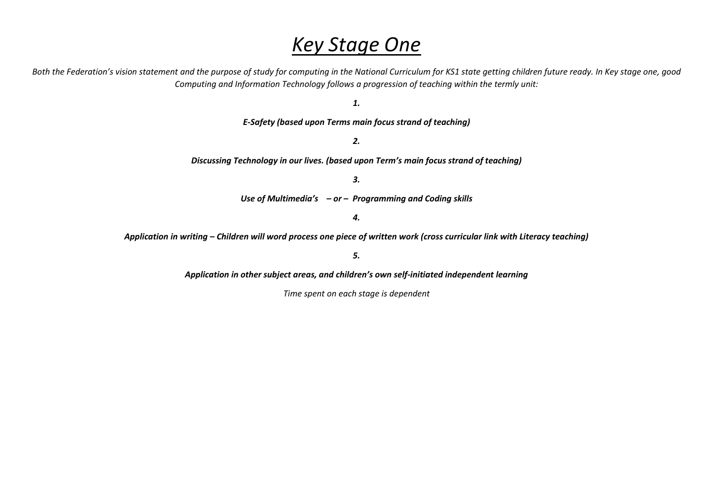#### *Key Stage One*

Both the Federation's vision statement and the purpose of study for computing in the National Curriculum for KS1 state getting children future ready. In Key stage one, good *Computing and Information Technology follows a progression of teaching within the termly unit:*

*1.*

*E-Safety (based upon Terms main focus strand of teaching)*

*2.*

*Discussing Technology in our lives. (based upon Term's main focus strand of teaching)*

*3.* 

*Use of Multimedia's – or – Programming and Coding skills*

*4.*

*Application in writing – Children will word process one piece of written work (cross curricular link with Literacy teaching)*

*5.*

*Application in other subject areas, and children's own self-initiated independent learning*

*Time spent on each stage is dependent*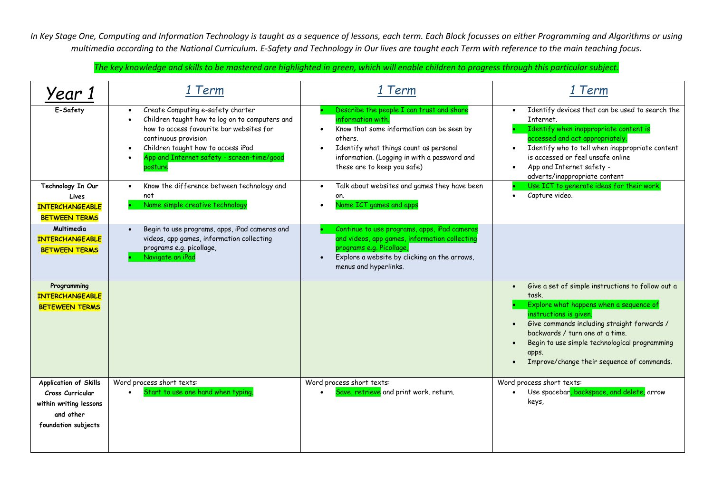*In Key Stage One, Computing and Information Technology is taught as a sequence of lessons, each term. Each Block focusses on either Programming and Algorithms or using multimedia according to the National Curriculum. E-Safety and Technology in Our lives are taught each Term with reference to the main teaching focus.*

*The key knowledge and skills to be mastered are highlighted in green, which will enable children to progress through this particular subject.*

| Year                                                                                                    | 1 Term                                                                                                                                                                                                                                                                                                     | 1 Term                                                                                                                                                                                                                                          | 1 Term                                                                                                                                                                                                                                                                                                                                 |
|---------------------------------------------------------------------------------------------------------|------------------------------------------------------------------------------------------------------------------------------------------------------------------------------------------------------------------------------------------------------------------------------------------------------------|-------------------------------------------------------------------------------------------------------------------------------------------------------------------------------------------------------------------------------------------------|----------------------------------------------------------------------------------------------------------------------------------------------------------------------------------------------------------------------------------------------------------------------------------------------------------------------------------------|
| E-Safety                                                                                                | Create Computing e-safety charter<br>$\bullet$<br>Children taught how to log on to computers and<br>$\bullet$<br>how to access favourite bar websites for<br>continuous provision<br>Children taught how to access iPad<br>$\bullet$<br>App and Internet safety - screen-time/good<br>$\bullet$<br>posture | Describe the people I can trust and share<br>information with.<br>Know that some information can be seen by<br>others.<br>Identify what things count as personal<br>information. (Logging in with a password and<br>these are to keep you safe) | Identify devices that can be used to search the<br>Internet.<br>Identify when inappropriate content is<br>accessed and act appropriately.<br>Identify who to tell when inappropriate content<br>is accessed or feel unsafe online<br>App and Internet safety -<br>adverts/inappropriate content                                        |
| Technology In Our<br>Lives<br><b>INTERCHANGEABLE</b><br><b>BETWEEN TERMS</b>                            | Know the difference between technology and<br>$\bullet$<br>not<br>Name simple creative technology                                                                                                                                                                                                          | Talk about websites and games they have been<br>on.<br>Name ICT games and apps                                                                                                                                                                  | Use ICT to generate ideas for their work.<br>Capture video.                                                                                                                                                                                                                                                                            |
| Multimedia<br><b>INTERCHANGEABLE</b><br><b>BETWEEN TERMS</b>                                            | Begin to use programs, apps, iPad cameras and<br>videos, app games, information collecting<br>programs e.g. picollage,<br>Navigate an iPad                                                                                                                                                                 | Continue to use programs, apps, iPad cameras<br>and videos, app games, information collecting<br>programs e.g. Picollage,<br>Explore a website by clicking on the arrows,<br>menus and hyperlinks.                                              |                                                                                                                                                                                                                                                                                                                                        |
| Programming<br><b>INTERCHANGEABLE</b><br><b>BETEWEEN TERMS</b>                                          |                                                                                                                                                                                                                                                                                                            |                                                                                                                                                                                                                                                 | Give a set of simple instructions to follow out a<br>$\bullet$<br>task.<br>Explore what happens when a sequence of<br>instructions is given.<br>Give commands including straight forwards /<br>backwards / turn one at a time.<br>Begin to use simple technological programming<br>apps.<br>Improve/change their sequence of commands. |
| Application of Skills<br>Cross Curricular<br>within writing lessons<br>and other<br>foundation subjects | Word process short texts:<br>Start to use one hand when typing.<br>$\bullet$                                                                                                                                                                                                                               | Word process short texts:<br>Save, retrieve and print work. return.                                                                                                                                                                             | Word process short texts:<br>Use spacebar, backspace, and delete, arrow<br>$\bullet$<br>keys,                                                                                                                                                                                                                                          |